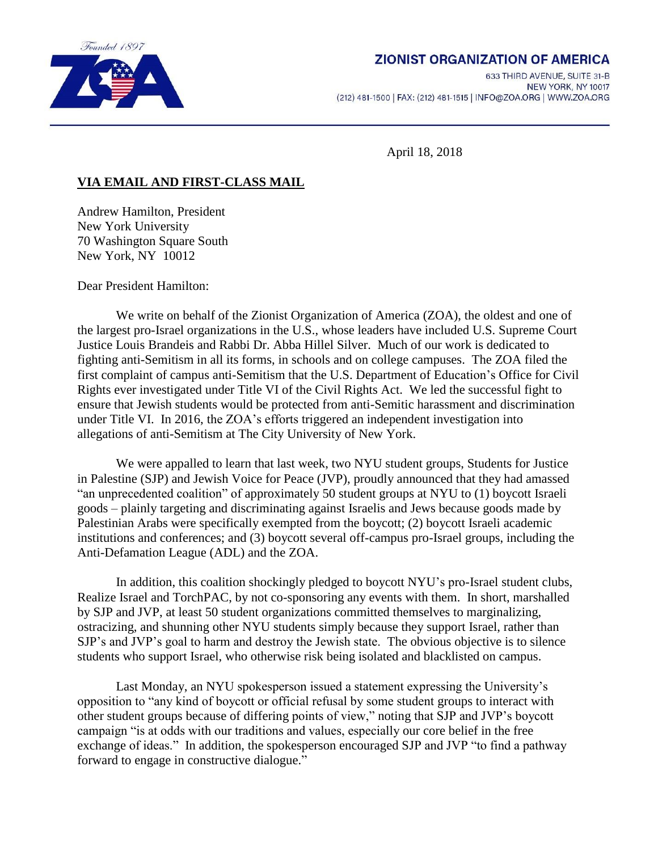

# **ZIONIST ORGANIZATION OF AMERICA**

633 THIRD AVENUE, SUITE 31-B NEW YORK, NY 10017 (212) 481-1500 | FAX: (212) 481-1515 | INFO@ZOA.ORG | WWW.ZOA.ORG

April 18, 2018

# **VIA EMAIL AND FIRST-CLASS MAIL**

Andrew Hamilton, President New York University 70 Washington Square South New York, NY 10012

Dear President Hamilton:

We write on behalf of the Zionist Organization of America (ZOA), the oldest and one of the largest pro-Israel organizations in the U.S., whose leaders have included U.S. Supreme Court Justice Louis Brandeis and Rabbi Dr. Abba Hillel Silver. Much of our work is dedicated to fighting anti-Semitism in all its forms, in schools and on college campuses. The ZOA filed the first complaint of campus anti-Semitism that the U.S. Department of Education's Office for Civil Rights ever investigated under Title VI of the Civil Rights Act. We led the successful fight to ensure that Jewish students would be protected from anti-Semitic harassment and discrimination under Title VI. In 2016, the ZOA's efforts triggered an independent investigation into allegations of anti-Semitism at The City University of New York.

We were appalled to learn that last week, two NYU student groups, Students for Justice in Palestine (SJP) and Jewish Voice for Peace (JVP), proudly announced that they had amassed "an unprecedented coalition" of approximately 50 student groups at NYU to (1) boycott Israeli goods – plainly targeting and discriminating against Israelis and Jews because goods made by Palestinian Arabs were specifically exempted from the boycott; (2) boycott Israeli academic institutions and conferences; and (3) boycott several off-campus pro-Israel groups, including the Anti-Defamation League (ADL) and the ZOA.

In addition, this coalition shockingly pledged to boycott NYU's pro-Israel student clubs, Realize Israel and TorchPAC, by not co-sponsoring any events with them. In short, marshalled by SJP and JVP, at least 50 student organizations committed themselves to marginalizing, ostracizing, and shunning other NYU students simply because they support Israel, rather than SJP's and JVP's goal to harm and destroy the Jewish state. The obvious objective is to silence students who support Israel, who otherwise risk being isolated and blacklisted on campus.

Last Monday, an NYU spokesperson issued a statement expressing the University's opposition to "any kind of boycott or official refusal by some student groups to interact with other student groups because of differing points of view," noting that SJP and JVP's boycott campaign "is at odds with our traditions and values, especially our core belief in the free exchange of ideas." In addition, the spokesperson encouraged SJP and JVP "to find a pathway forward to engage in constructive dialogue."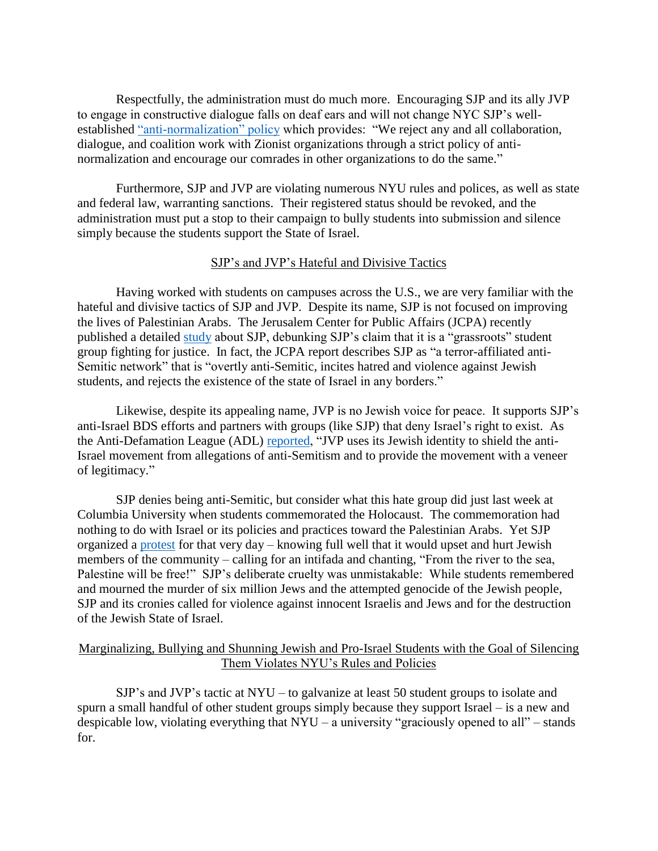Respectfully, the administration must do much more. Encouraging SJP and its ally JVP to engage in constructive dialogue falls on deaf ears and will not change NYC SJP's well-established ["anti-normalization" policy](https://nycsjp.wordpress.com/points-of-unity/) which provides: "We reject any and all collaboration, dialogue, and coalition work with Zionist organizations through a strict policy of antinormalization and encourage our comrades in other organizations to do the same."

Furthermore, SJP and JVP are violating numerous NYU rules and polices, as well as state and federal law, warranting sanctions. Their registered status should be revoked, and the administration must put a stop to their campaign to bully students into submission and silence simply because the students support the State of Israel.

### SJP's and JVP's Hateful and Divisive Tactics

Having worked with students on campuses across the U.S., we are very familiar with the hateful and divisive tactics of SJP and JVP. Despite its name, SJP is not focused on improving the lives of Palestinian Arabs. The Jerusalem Center for Public Affairs (JCPA) recently published a detailed [study](http://jcpa.org/wp-content/uploads/2017/11/SJP_Unmasked_Final_edited.pdf) about SJP, debunking SJP's claim that it is a "grassroots" student group fighting for justice. In fact, the JCPA report describes SJP as "a terror-affiliated anti-Semitic network" that is "overtly anti-Semitic, incites hatred and violence against Jewish students, and rejects the existence of the state of Israel in any borders."

Likewise, despite its appealing name, JVP is no Jewish voice for peace. It supports SJP's anti-Israel BDS efforts and partners with groups (like SJP) that deny Israel's right to exist. As the Anti-Defamation League (ADL) [reported,](https://www.adl.org/resources/profiles/jewish-voice-for-peace) "JVP uses its Jewish identity to shield the anti-Israel movement from allegations of anti-Semitism and to provide the movement with a veneer of legitimacy."

SJP denies being anti-Semitic, but consider what this hate group did just last week at Columbia University when students commemorated the Holocaust. The commemoration had nothing to do with Israel or its policies and practices toward the Palestinian Arabs. Yet SJP organized a [protest](https://www.jta.org/2018/04/12/top-headlines/columbia-students-hold-anti-israel-demonstration-opposite-holocaust-commemoration-booth) for that very day – knowing full well that it would upset and hurt Jewish members of the community – calling for an intifada and chanting, "From the river to the sea, Palestine will be free!" SJP's deliberate cruelty was unmistakable: While students remembered and mourned the murder of six million Jews and the attempted genocide of the Jewish people, SJP and its cronies called for violence against innocent Israelis and Jews and for the destruction of the Jewish State of Israel.

### Marginalizing, Bullying and Shunning Jewish and Pro-Israel Students with the Goal of Silencing Them Violates NYU's Rules and Policies

SJP's and JVP's tactic at NYU – to galvanize at least 50 student groups to isolate and spurn a small handful of other student groups simply because they support Israel – is a new and despicable low, violating everything that  $NYU - a$  university "graciously opened to all" – stands for.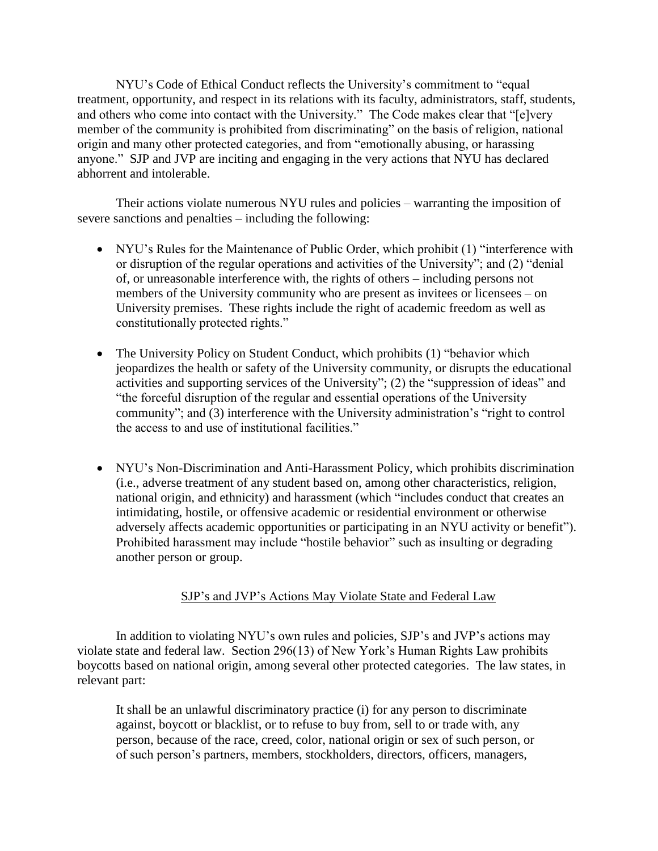NYU's Code of Ethical Conduct reflects the University's commitment to "equal treatment, opportunity, and respect in its relations with its faculty, administrators, staff, students, and others who come into contact with the University." The Code makes clear that "[e]very member of the community is prohibited from discriminating" on the basis of religion, national origin and many other protected categories, and from "emotionally abusing, or harassing anyone." SJP and JVP are inciting and engaging in the very actions that NYU has declared abhorrent and intolerable.

Their actions violate numerous NYU rules and policies – warranting the imposition of severe sanctions and penalties – including the following:

- NYU's Rules for the Maintenance of Public Order, which prohibit (1) "interference with or disruption of the regular operations and activities of the University"; and (2) "denial of, or unreasonable interference with, the rights of others – including persons not members of the University community who are present as invitees or licensees – on University premises. These rights include the right of academic freedom as well as constitutionally protected rights."
- The University Policy on Student Conduct, which prohibits (1) "behavior which jeopardizes the health or safety of the University community, or disrupts the educational activities and supporting services of the University"; (2) the "suppression of ideas" and "the forceful disruption of the regular and essential operations of the University community"; and (3) interference with the University administration's "right to control the access to and use of institutional facilities."
- NYU's Non-Discrimination and Anti-Harassment Policy, which prohibits discrimination (i.e., adverse treatment of any student based on, among other characteristics, religion, national origin, and ethnicity) and harassment (which "includes conduct that creates an intimidating, hostile, or offensive academic or residential environment or otherwise adversely affects academic opportunities or participating in an NYU activity or benefit"). Prohibited harassment may include "hostile behavior" such as insulting or degrading another person or group.

## SJP's and JVP's Actions May Violate State and Federal Law

In addition to violating NYU's own rules and policies, SJP's and JVP's actions may violate state and federal law. Section 296(13) of New York's Human Rights Law prohibits boycotts based on national origin, among several other protected categories. The law states, in relevant part:

It shall be an unlawful discriminatory practice (i) for any person to discriminate against, boycott or blacklist, or to refuse to buy from, sell to or trade with, any person, because of the race, creed, color, national origin or sex of such person, or of such person's partners, members, stockholders, directors, officers, managers,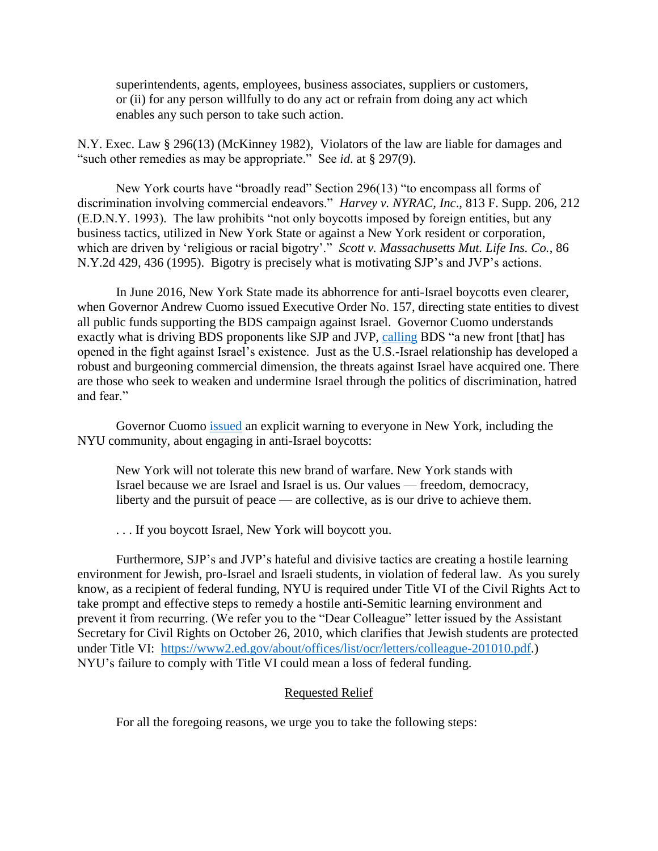superintendents, agents, employees, business associates, suppliers or customers, or (ii) for any person willfully to do any act or refrain from doing any act which enables any such person to take such action.

N.Y. Exec. Law § 296(13) (McKinney 1982), Violators of the law are liable for damages and "such other remedies as may be appropriate." See *id*. at § 297(9).

New York courts have "broadly read" Section 296(13) "to encompass all forms of discrimination involving commercial endeavors." *Harvey v. NYRAC, Inc*., 813 F. Supp. 206, 212 (E.D.N.Y. 1993). The law prohibits "not only boycotts imposed by foreign entities, but any business tactics, utilized in New York State or against a New York resident or corporation, which are driven by 'religious or racial bigotry'." *Scott v. Massachusetts Mut. Life Ins. Co.*, 86 N.Y.2d 429, 436 (1995). Bigotry is precisely what is motivating SJP's and JVP's actions.

In June 2016, New York State made its abhorrence for anti-Israel boycotts even clearer, when Governor Andrew Cuomo issued Executive Order No. 157, directing state entities to divest all public funds supporting the BDS campaign against Israel. Governor Cuomo understands exactly what is driving BDS proponents like SJP and JVP, [calling](https://www.washingtonpost.com/opinions/gov-andrew-cuomo-if-you-boycott-israel-new-york-state-will-boycott-you/2016/06/10/1d6d3acc-2e62-11e6-9b37-42985f6a265c_story.html?noredirect=on&utm_term=.db481e0042a8) BDS "a new front [that] has opened in the fight against Israel's existence. Just as the U.S.-Israel relationship has developed a robust and burgeoning commercial dimension, the threats against Israel have acquired one. There are those who seek to weaken and undermine Israel through the politics of discrimination, hatred and fear."

Governor Cuomo [issued](https://www.washingtonpost.com/opinions/gov-andrew-cuomo-if-you-boycott-israel-new-york-state-will-boycott-you/2016/06/10/1d6d3acc-2e62-11e6-9b37-42985f6a265c_story.html?noredirect=on&utm_term=.db481e0042a8) an explicit warning to everyone in New York, including the NYU community, about engaging in anti-Israel boycotts:

New York will not tolerate this new brand of warfare. New York stands with Israel because we are Israel and Israel is us. Our values — freedom, democracy, liberty and the pursuit of peace — are collective, as is our drive to achieve them.

. . . If you boycott Israel, New York will boycott you.

Furthermore, SJP's and JVP's hateful and divisive tactics are creating a hostile learning environment for Jewish, pro-Israel and Israeli students, in violation of federal law. As you surely know, as a recipient of federal funding, NYU is required under Title VI of the Civil Rights Act to take prompt and effective steps to remedy a hostile anti-Semitic learning environment and prevent it from recurring. (We refer you to the "Dear Colleague" letter issued by the Assistant Secretary for Civil Rights on October 26, 2010, which clarifies that Jewish students are protected under Title VI: [https://www2.ed.gov/about/offices/list/ocr/letters/colleague-201010.pdf.](https://www2.ed.gov/about/offices/list/ocr/letters/colleague-201010.pdf)) NYU's failure to comply with Title VI could mean a loss of federal funding.

### Requested Relief

For all the foregoing reasons, we urge you to take the following steps: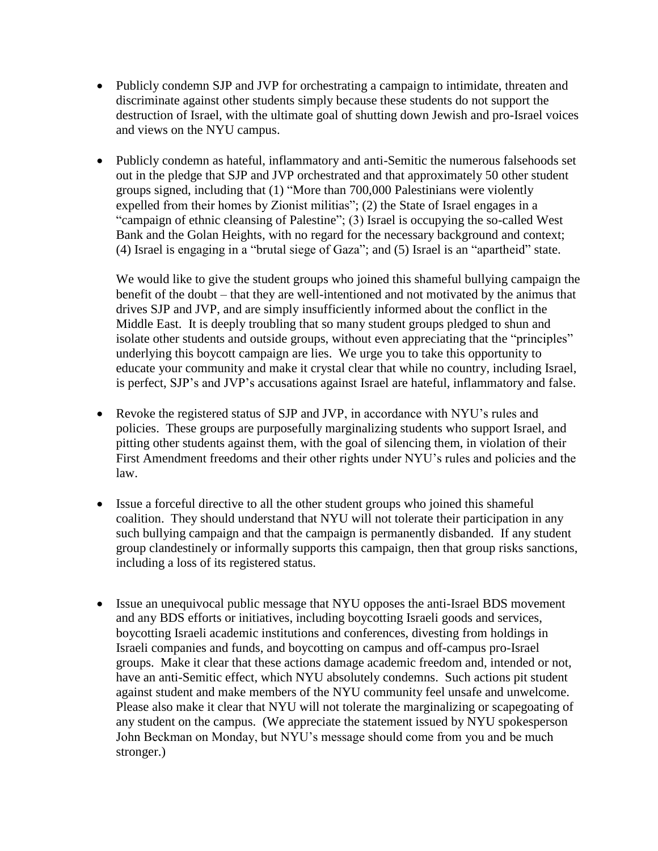- Publicly condemn SJP and JVP for orchestrating a campaign to intimidate, threaten and discriminate against other students simply because these students do not support the destruction of Israel, with the ultimate goal of shutting down Jewish and pro-Israel voices and views on the NYU campus.
- Publicly condemn as hateful, inflammatory and anti-Semitic the numerous falsehoods set out in the pledge that SJP and JVP orchestrated and that approximately 50 other student groups signed, including that (1) "More than 700,000 Palestinians were violently expelled from their homes by Zionist militias"; (2) the State of Israel engages in a "campaign of ethnic cleansing of Palestine"; (3) Israel is occupying the so-called West Bank and the Golan Heights, with no regard for the necessary background and context; (4) Israel is engaging in a "brutal siege of Gaza"; and (5) Israel is an "apartheid" state.

We would like to give the student groups who joined this shameful bullying campaign the benefit of the doubt – that they are well-intentioned and not motivated by the animus that drives SJP and JVP, and are simply insufficiently informed about the conflict in the Middle East. It is deeply troubling that so many student groups pledged to shun and isolate other students and outside groups, without even appreciating that the "principles" underlying this boycott campaign are lies. We urge you to take this opportunity to educate your community and make it crystal clear that while no country, including Israel, is perfect, SJP's and JVP's accusations against Israel are hateful, inflammatory and false.

- Revoke the registered status of SJP and JVP, in accordance with NYU's rules and policies. These groups are purposefully marginalizing students who support Israel, and pitting other students against them, with the goal of silencing them, in violation of their First Amendment freedoms and their other rights under NYU's rules and policies and the law.
- Issue a forceful directive to all the other student groups who joined this shameful coalition. They should understand that NYU will not tolerate their participation in any such bullying campaign and that the campaign is permanently disbanded. If any student group clandestinely or informally supports this campaign, then that group risks sanctions, including a loss of its registered status.
- Issue an unequivocal public message that NYU opposes the anti-Israel BDS movement and any BDS efforts or initiatives, including boycotting Israeli goods and services, boycotting Israeli academic institutions and conferences, divesting from holdings in Israeli companies and funds, and boycotting on campus and off-campus pro-Israel groups. Make it clear that these actions damage academic freedom and, intended or not, have an anti-Semitic effect, which NYU absolutely condemns. Such actions pit student against student and make members of the NYU community feel unsafe and unwelcome. Please also make it clear that NYU will not tolerate the marginalizing or scapegoating of any student on the campus. (We appreciate the statement issued by NYU spokesperson John Beckman on Monday, but NYU's message should come from you and be much stronger.)